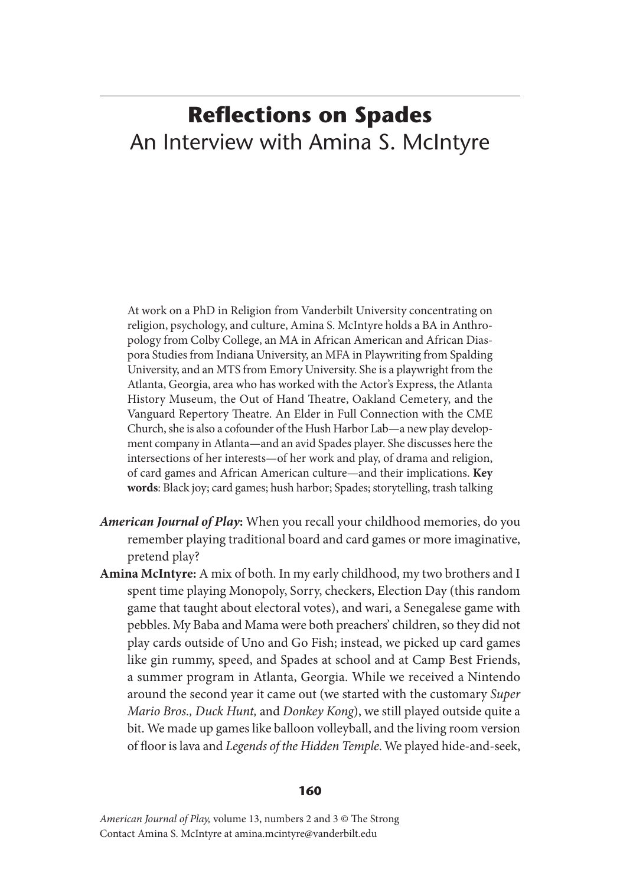## **Reflections on Spades** An Interview with Amina S. McIntyre

At work on a PhD in Religion from Vanderbilt University concentrating on religion, psychology, and culture, Amina S. McIntyre holds a BA in Anthropology from Colby College, an MA in African American and African Diaspora Studies from Indiana University, an MFA in Playwriting from Spalding University, and an MTS from Emory University. She is a playwright from the Atlanta, Georgia, area who has worked with the Actor's Express, the Atlanta History Museum, the Out of Hand Theatre, Oakland Cemetery, and the Vanguard Repertory Theatre. An Elder in Full Connection with the CME Church, she is also a cofounder of the Hush Harbor Lab—a new play development company in Atlanta—and an avid Spades player. She discusses here the intersections of her interests—of her work and play, of drama and religion, of card games and African American culture—and their implications. **Key words**: Black joy; card games; hush harbor; Spades; storytelling, trash talking

- *American Journal of Play***:** When you recall your childhood memories, do you remember playing traditional board and card games or more imaginative, pretend play?
- **Amina McIntyre:** A mix of both. In my early childhood, my two brothers and I spent time playing Monopoly, Sorry, checkers, Election Day (this random game that taught about electoral votes), and wari, a Senegalese game with pebbles. My Baba and Mama were both preachers' children, so they did not play cards outside of Uno and Go Fish; instead, we picked up card games like gin rummy, speed, and Spades at school and at Camp Best Friends, a summer program in Atlanta, Georgia. While we received a Nintendo around the second year it came out (we started with the customary *Super Mario Bros., Duck Hunt,* and *Donkey Kong*), we still played outside quite a bit. We made up games like balloon volleyball, and the living room version of floor is lava and *Legends of the Hidden Temple*. We played hide-and-seek,

## **160**

*American Journal of Play,* volume 13, numbers 2 and 3 © The Strong Contact Amina S. McIntyre at amina.mcintyre@vanderbilt.edu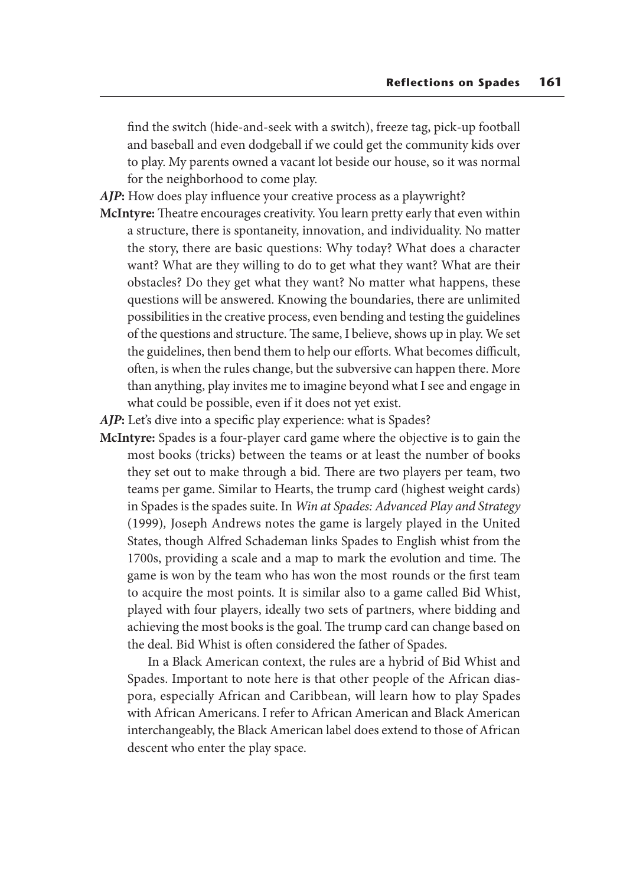find the switch (hide-and-seek with a switch), freeze tag, pick-up football and baseball and even dodgeball if we could get the community kids over to play. My parents owned a vacant lot beside our house, so it was normal for the neighborhood to come play.

*AJP***:** How does play influence your creative process as a playwright?

- **McIntyre:** Theatre encourages creativity. You learn pretty early that even within a structure, there is spontaneity, innovation, and individuality. No matter the story, there are basic questions: Why today? What does a character want? What are they willing to do to get what they want? What are their obstacles? Do they get what they want? No matter what happens, these questions will be answered. Knowing the boundaries, there are unlimited possibilities in the creative process, even bending and testing the guidelines of the questions and structure. The same, I believe, shows up in play. We set the guidelines, then bend them to help our efforts. What becomes difficult, often, is when the rules change, but the subversive can happen there. More than anything, play invites me to imagine beyond what I see and engage in what could be possible, even if it does not yet exist.
- *AJP***:** Let's dive into a specific play experience: what is Spades?
- **McIntyre:** Spades is a four-player card game where the objective is to gain the most books (tricks) between the teams or at least the number of books they set out to make through a bid. There are two players per team, two teams per game. Similar to Hearts, the trump card (highest weight cards) in Spades is the spades suite. In *Win at Spades: Advanced Play and Strategy*  (1999)*,* Joseph Andrews notes the game is largely played in the United States, though Alfred Schademan links Spades to English whist from the 1700s, providing a scale and a map to mark the evolution and time. The game is won by the team who has won the most rounds or the first team to acquire the most points. It is similar also to a game called Bid Whist, played with four players, ideally two sets of partners, where bidding and achieving the most books is the goal. The trump card can change based on the deal. Bid Whist is often considered the father of Spades.

 In a Black American context, the rules are a hybrid of Bid Whist and Spades. Important to note here is that other people of the African diaspora, especially African and Caribbean, will learn how to play Spades with African Americans. I refer to African American and Black American interchangeably, the Black American label does extend to those of African descent who enter the play space.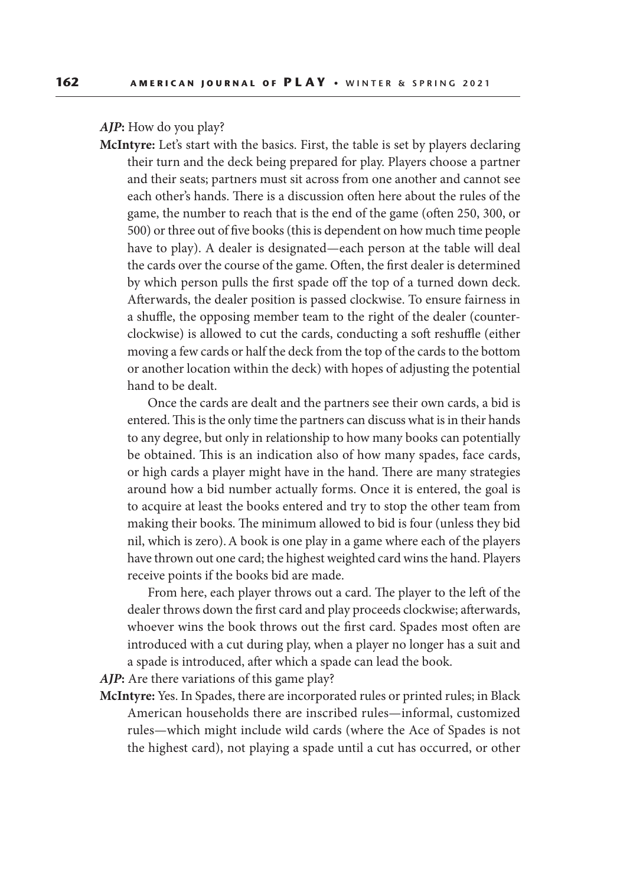*AJP***:** How do you play?

**McIntyre:** Let's start with the basics. First, the table is set by players declaring their turn and the deck being prepared for play. Players choose a partner and their seats; partners must sit across from one another and cannot see each other's hands. There is a discussion often here about the rules of the game, the number to reach that is the end of the game (often 250, 300, or 500) or three out of five books (this is dependent on how much time people have to play). A dealer is designated—each person at the table will deal the cards over the course of the game. Often, the first dealer is determined by which person pulls the first spade off the top of a turned down deck. Afterwards, the dealer position is passed clockwise. To ensure fairness in a shuffle, the opposing member team to the right of the dealer (counterclockwise) is allowed to cut the cards, conducting a soft reshuffle (either moving a few cards or half the deck from the top of the cards to the bottom or another location within the deck) with hopes of adjusting the potential hand to be dealt.

 Once the cards are dealt and the partners see their own cards, a bid is entered. This is the only time the partners can discuss what is in their hands to any degree, but only in relationship to how many books can potentially be obtained. This is an indication also of how many spades, face cards, or high cards a player might have in the hand. There are many strategies around how a bid number actually forms. Once it is entered, the goal is to acquire at least the books entered and try to stop the other team from making their books. The minimum allowed to bid is four (unless they bid nil, which is zero). A book is one play in a game where each of the players have thrown out one card; the highest weighted card wins the hand. Players receive points if the books bid are made.

 From here, each player throws out a card. The player to the left of the dealer throws down the first card and play proceeds clockwise; afterwards, whoever wins the book throws out the first card. Spades most often are introduced with a cut during play, when a player no longer has a suit and a spade is introduced, after which a spade can lead the book.

*AJP***:** Are there variations of this game play?

**McIntyre:** Yes. In Spades, there are incorporated rules or printed rules; in Black American households there are inscribed rules—informal, customized rules—which might include wild cards (where the Ace of Spades is not the highest card), not playing a spade until a cut has occurred, or other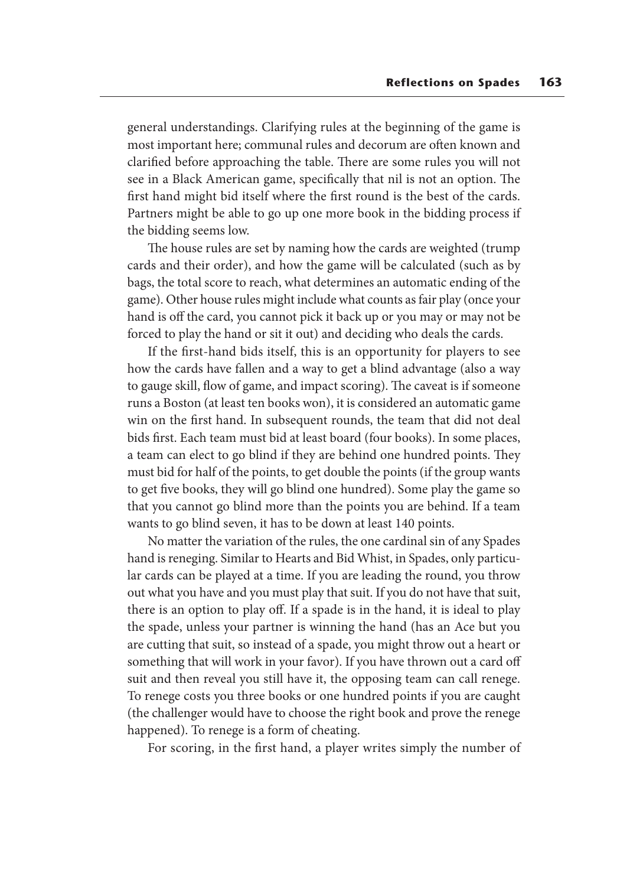general understandings. Clarifying rules at the beginning of the game is most important here; communal rules and decorum are often known and clarified before approaching the table. There are some rules you will not see in a Black American game, specifically that nil is not an option. The first hand might bid itself where the first round is the best of the cards. Partners might be able to go up one more book in the bidding process if the bidding seems low.

 The house rules are set by naming how the cards are weighted (trump cards and their order), and how the game will be calculated (such as by bags, the total score to reach, what determines an automatic ending of the game). Other house rules might include what counts as fair play (once your hand is off the card, you cannot pick it back up or you may or may not be forced to play the hand or sit it out) and deciding who deals the cards.

 If the first-hand bids itself, this is an opportunity for players to see how the cards have fallen and a way to get a blind advantage (also a way to gauge skill, flow of game, and impact scoring). The caveat is if someone runs a Boston (at least ten books won), it is considered an automatic game win on the first hand. In subsequent rounds, the team that did not deal bids first. Each team must bid at least board (four books). In some places, a team can elect to go blind if they are behind one hundred points. They must bid for half of the points, to get double the points (if the group wants to get five books, they will go blind one hundred). Some play the game so that you cannot go blind more than the points you are behind. If a team wants to go blind seven, it has to be down at least 140 points.

 No matter the variation of the rules, the one cardinal sin of any Spades hand is reneging. Similar to Hearts and Bid Whist, in Spades, only particular cards can be played at a time. If you are leading the round, you throw out what you have and you must play that suit. If you do not have that suit, there is an option to play off. If a spade is in the hand, it is ideal to play the spade, unless your partner is winning the hand (has an Ace but you are cutting that suit, so instead of a spade, you might throw out a heart or something that will work in your favor). If you have thrown out a card off suit and then reveal you still have it, the opposing team can call renege. To renege costs you three books or one hundred points if you are caught (the challenger would have to choose the right book and prove the renege happened). To renege is a form of cheating.

For scoring, in the first hand, a player writes simply the number of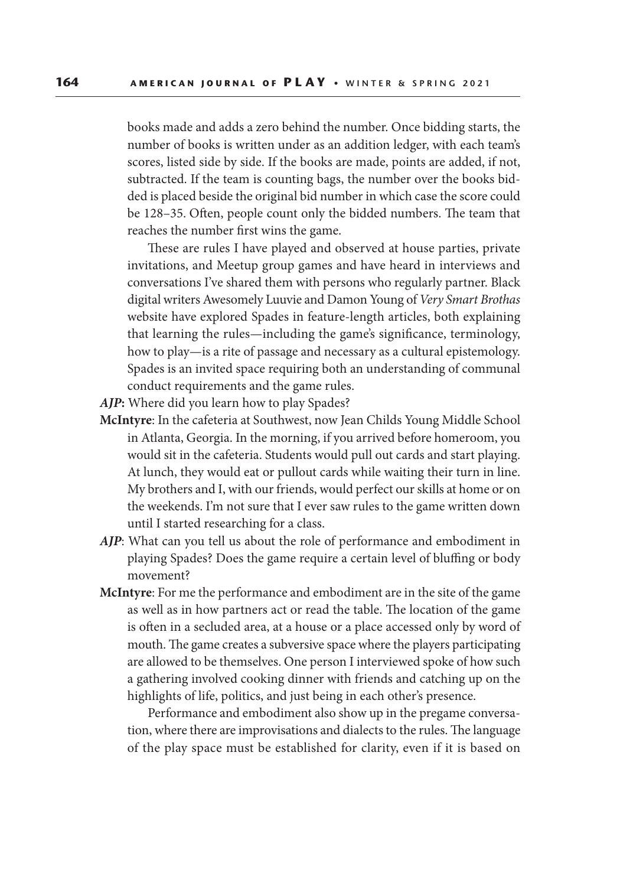books made and adds a zero behind the number. Once bidding starts, the number of books is written under as an addition ledger, with each team's scores, listed side by side. If the books are made, points are added, if not, subtracted. If the team is counting bags, the number over the books bidded is placed beside the original bid number in which case the score could be 128–35. Often, people count only the bidded numbers. The team that reaches the number first wins the game.

 These are rules I have played and observed at house parties, private invitations, and Meetup group games and have heard in interviews and conversations I've shared them with persons who regularly partner. Black digital writers Awesomely Luuvie and Damon Young of *Very Smart Brothas*  website have explored Spades in feature-length articles, both explaining that learning the rules—including the game's significance, terminology, how to play—is a rite of passage and necessary as a cultural epistemology. Spades is an invited space requiring both an understanding of communal conduct requirements and the game rules.

*AJP***:** Where did you learn how to play Spades?

- **McIntyre**: In the cafeteria at Southwest, now Jean Childs Young Middle School in Atlanta, Georgia. In the morning, if you arrived before homeroom, you would sit in the cafeteria. Students would pull out cards and start playing. At lunch, they would eat or pullout cards while waiting their turn in line. My brothers and I, with our friends, would perfect our skills at home or on the weekends. I'm not sure that I ever saw rules to the game written down until I started researching for a class.
- *AJP*: What can you tell us about the role of performance and embodiment in playing Spades? Does the game require a certain level of bluffing or body movement?
- **McIntyre**: For me the performance and embodiment are in the site of the game as well as in how partners act or read the table. The location of the game is often in a secluded area, at a house or a place accessed only by word of mouth. The game creates a subversive space where the players participating are allowed to be themselves. One person I interviewed spoke of how such a gathering involved cooking dinner with friends and catching up on the highlights of life, politics, and just being in each other's presence.

 Performance and embodiment also show up in the pregame conversation, where there are improvisations and dialects to the rules. The language of the play space must be established for clarity, even if it is based on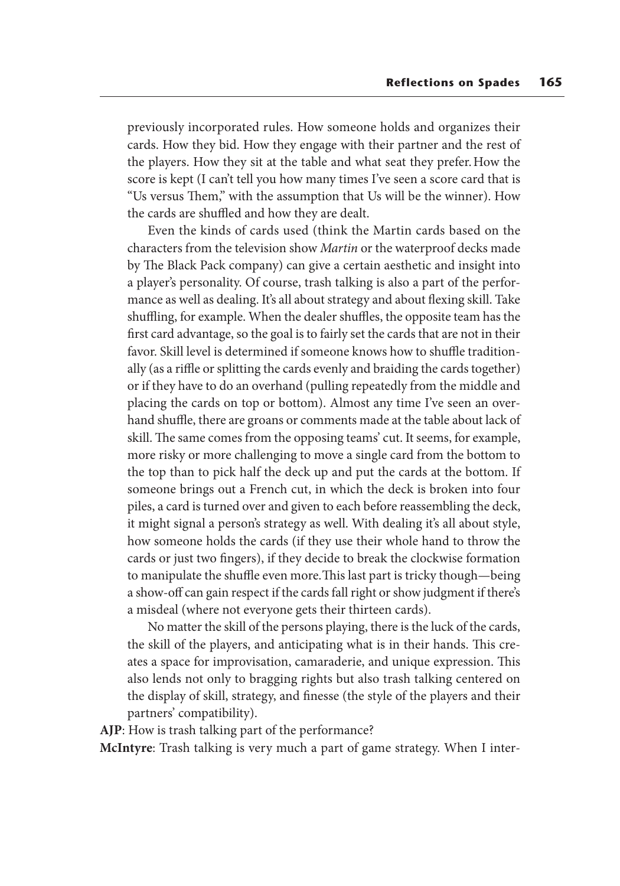previously incorporated rules. How someone holds and organizes their cards. How they bid. How they engage with their partner and the rest of the players. How they sit at the table and what seat they prefer. How the score is kept (I can't tell you how many times I've seen a score card that is "Us versus Them," with the assumption that Us will be the winner). How the cards are shuffled and how they are dealt.

 Even the kinds of cards used (think the Martin cards based on the characters from the television show *Martin* or the waterproof decks made by The Black Pack company) can give a certain aesthetic and insight into a player's personality. Of course, trash talking is also a part of the performance as well as dealing. It's all about strategy and about flexing skill. Take shuffling, for example. When the dealer shuffles, the opposite team has the first card advantage, so the goal is to fairly set the cards that are not in their favor. Skill level is determined if someone knows how to shuffle traditionally (as a riffle or splitting the cards evenly and braiding the cards together) or if they have to do an overhand (pulling repeatedly from the middle and placing the cards on top or bottom). Almost any time I've seen an overhand shuffle, there are groans or comments made at the table about lack of skill. The same comes from the opposing teams' cut. It seems, for example, more risky or more challenging to move a single card from the bottom to the top than to pick half the deck up and put the cards at the bottom. If someone brings out a French cut, in which the deck is broken into four piles, a card is turned over and given to each before reassembling the deck, it might signal a person's strategy as well. With dealing it's all about style, how someone holds the cards (if they use their whole hand to throw the cards or just two fingers), if they decide to break the clockwise formation to manipulate the shuffle even more. This last part is tricky though—being a show-off can gain respect if the cards fall right or show judgment if there's a misdeal (where not everyone gets their thirteen cards).

 No matter the skill of the persons playing, there is the luck of the cards, the skill of the players, and anticipating what is in their hands. This creates a space for improvisation, camaraderie, and unique expression. This also lends not only to bragging rights but also trash talking centered on the display of skill, strategy, and finesse (the style of the players and their partners' compatibility).

**AJP**: How is trash talking part of the performance?

**McIntyre**: Trash talking is very much a part of game strategy. When I inter-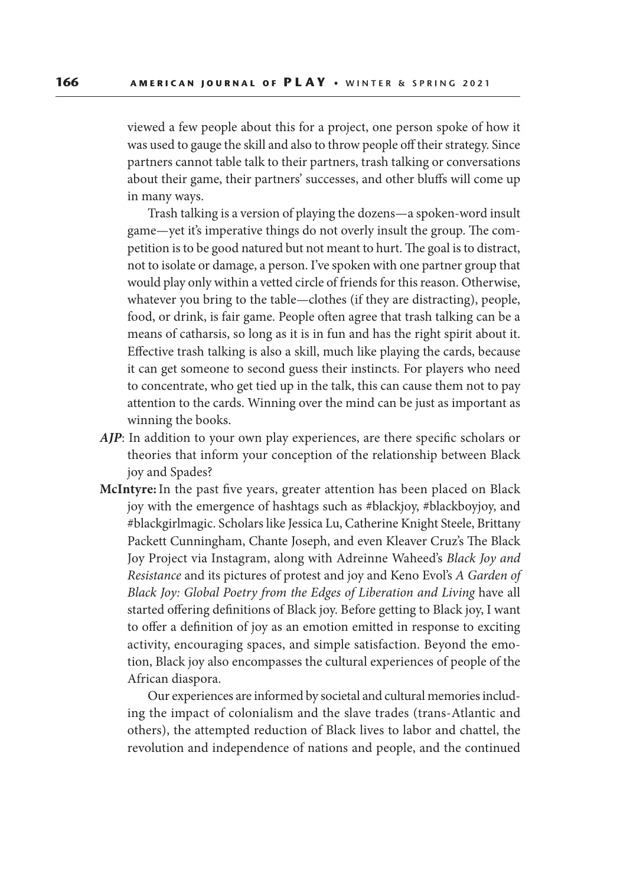viewed a few people about this for a project, one person spoke of how it was used to gauge the skill and also to throw people off their strategy. Since partners cannot table talk to their partners, trash talking or conversations about their game, their partners' successes, and other bluffs will come up in many ways.

 Trash talking is a version of playing the dozens—a spoken-word insult game—yet it's imperative things do not overly insult the group. The competition is to be good natured but not meant to hurt. The goal is to distract, not to isolate or damage, a person. I've spoken with one partner group that would play only within a vetted circle of friends for this reason. Otherwise, whatever you bring to the table—clothes (if they are distracting), people, food, or drink, is fair game. People often agree that trash talking can be a means of catharsis, so long as it is in fun and has the right spirit about it. Effective trash talking is also a skill, much like playing the cards, because it can get someone to second guess their instincts. For players who need to concentrate, who get tied up in the talk, this can cause them not to pay attention to the cards. Winning over the mind can be just as important as winning the books.

- *AJP*: In addition to your own play experiences, are there specific scholars or theories that inform your conception of the relationship between Black joy and Spades?
- **McIntyre:** In the past five years, greater attention has been placed on Black joy with the emergence of hashtags such as #blackjoy, #blackboyjoy, and #blackgirlmagic. Scholars like Jessica Lu, Catherine Knight Steele, Brittany Packett Cunningham, Chante Joseph, and even Kleaver Cruz's The Black Joy Project via Instagram, along with Adreinne Waheed's *Black Joy and Resistance* and its pictures of protest and joy and Keno Evol's *A Garden of Black Joy: Global Poetry from the Edges of Liberation and Living* have all started offering definitions of Black joy. Before getting to Black joy, I want to offer a definition of joy as an emotion emitted in response to exciting activity, encouraging spaces, and simple satisfaction. Beyond the emotion, Black joy also encompasses the cultural experiences of people of the African diaspora.

 Our experiences are informed by societal and cultural memories including the impact of colonialism and the slave trades (trans-Atlantic and others), the attempted reduction of Black lives to labor and chattel, the revolution and independence of nations and people, and the continued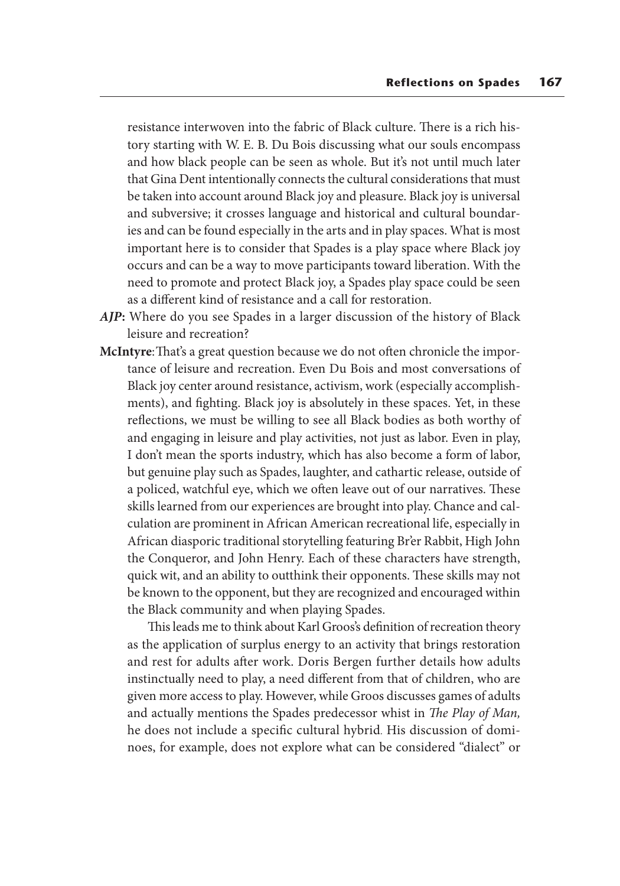resistance interwoven into the fabric of Black culture. There is a rich history starting with W. E. B. Du Bois discussing what our souls encompass and how black people can be seen as whole. But it's not until much later that Gina Dent intentionally connects the cultural considerations that must be taken into account around Black joy and pleasure. Black joy is universal and subversive; it crosses language and historical and cultural boundaries and can be found especially in the arts and in play spaces. What is most important here is to consider that Spades is a play space where Black joy occurs and can be a way to move participants toward liberation. With the need to promote and protect Black joy, a Spades play space could be seen as a different kind of resistance and a call for restoration.

- *AJP***:** Where do you see Spades in a larger discussion of the history of Black leisure and recreation?
- **McIntyre**: That's a great question because we do not often chronicle the importance of leisure and recreation. Even Du Bois and most conversations of Black joy center around resistance, activism, work (especially accomplishments), and fighting. Black joy is absolutely in these spaces. Yet, in these reflections, we must be willing to see all Black bodies as both worthy of and engaging in leisure and play activities, not just as labor. Even in play, I don't mean the sports industry, which has also become a form of labor, but genuine play such as Spades, laughter, and cathartic release, outside of a policed, watchful eye, which we often leave out of our narratives. These skills learned from our experiences are brought into play. Chance and calculation are prominent in African American recreational life, especially in African diasporic traditional storytelling featuring Br'er Rabbit, High John the Conqueror, and John Henry. Each of these characters have strength, quick wit, and an ability to outthink their opponents. These skills may not be known to the opponent, but they are recognized and encouraged within the Black community and when playing Spades.

 This leads me to think about Karl Groos's definition of recreation theory as the application of surplus energy to an activity that brings restoration and rest for adults after work. Doris Bergen further details how adults instinctually need to play, a need different from that of children, who are given more access to play. However, while Groos discusses games of adults and actually mentions the Spades predecessor whist in *The Play of Man,* he does not include a specific cultural hybrid. His discussion of dominoes, for example, does not explore what can be considered "dialect" or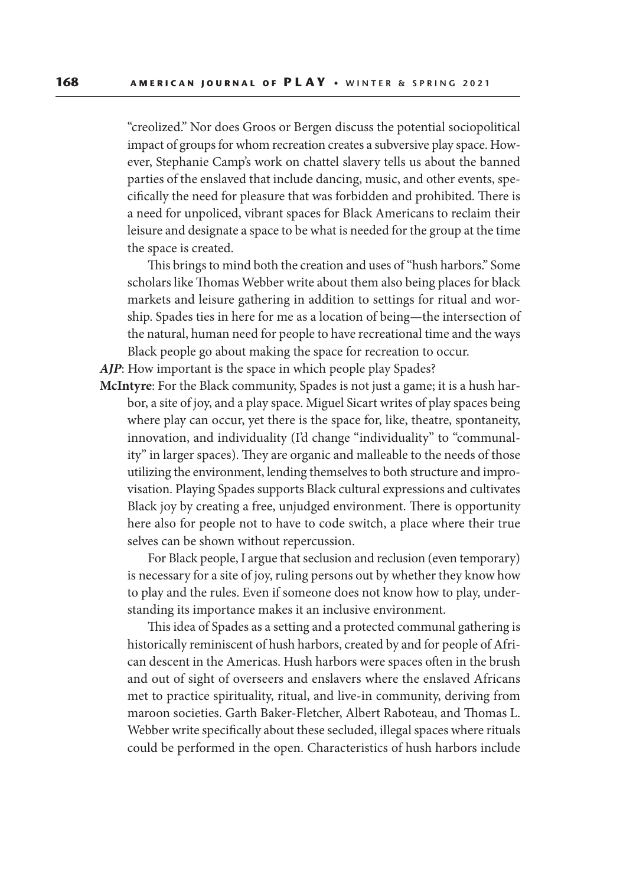"creolized." Nor does Groos or Bergen discuss the potential sociopolitical impact of groups for whom recreation creates a subversive play space. However, Stephanie Camp's work on chattel slavery tells us about the banned parties of the enslaved that include dancing, music, and other events, specifically the need for pleasure that was forbidden and prohibited. There is a need for unpoliced, vibrant spaces for Black Americans to reclaim their leisure and designate a space to be what is needed for the group at the time the space is created.

 This brings to mind both the creation and uses of "hush harbors." Some scholars like Thomas Webber write about them also being places for black markets and leisure gathering in addition to settings for ritual and worship. Spades ties in here for me as a location of being—the intersection of the natural, human need for people to have recreational time and the ways Black people go about making the space for recreation to occur.

*AJP*: How important is the space in which people play Spades?

**McIntyre**: For the Black community, Spades is not just a game; it is a hush harbor, a site of joy, and a play space. Miguel Sicart writes of play spaces being where play can occur, yet there is the space for, like, theatre, spontaneity, innovation, and individuality (I'd change "individuality" to "communality" in larger spaces). They are organic and malleable to the needs of those utilizing the environment, lending themselves to both structure and improvisation. Playing Spades supports Black cultural expressions and cultivates Black joy by creating a free, unjudged environment. There is opportunity here also for people not to have to code switch, a place where their true selves can be shown without repercussion.

 For Black people, I argue that seclusion and reclusion (even temporary) is necessary for a site of joy, ruling persons out by whether they know how to play and the rules. Even if someone does not know how to play, understanding its importance makes it an inclusive environment.

 This idea of Spades as a setting and a protected communal gathering is historically reminiscent of hush harbors, created by and for people of African descent in the Americas. Hush harbors were spaces often in the brush and out of sight of overseers and enslavers where the enslaved Africans met to practice spirituality, ritual, and live-in community, deriving from maroon societies. Garth Baker-Fletcher, Albert Raboteau, and Thomas L. Webber write specifically about these secluded, illegal spaces where rituals could be performed in the open. Characteristics of hush harbors include